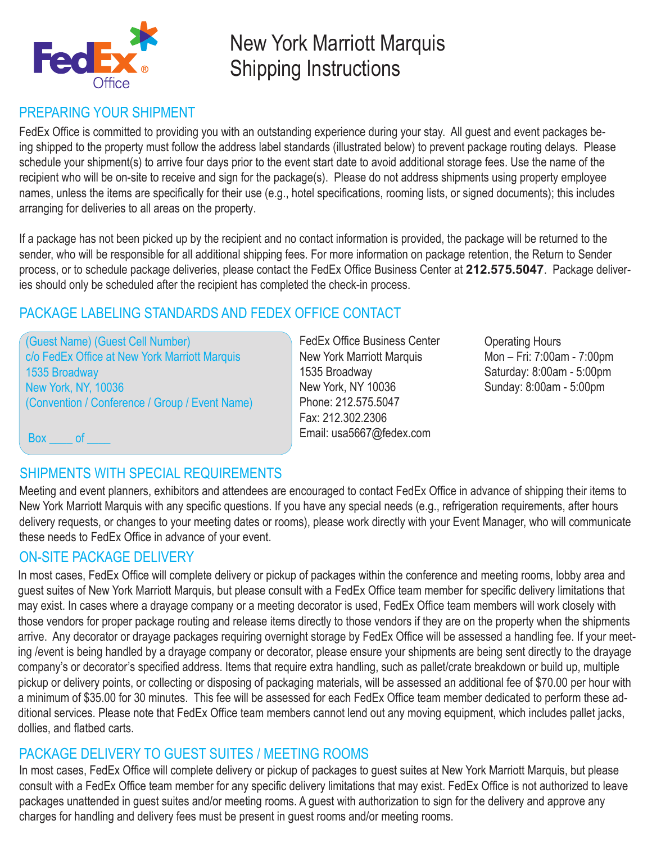

# New York Marriott Marquis Shipping Instructions

## PREPARING YOUR SHIPMENT

FedEx Office is committed to providing you with an outstanding experience during your stay. All guest and event packages being shipped to the property must follow the address label standards (illustrated below) to prevent package routing delays. Please schedule your shipment(s) to arrive four days prior to the event start date to avoid additional storage fees. Use the name of the recipient who will be on-site to receive and sign for the package(s). Please do not address shipments using property employee names, unless the items are specifically for their use (e.g., hotel specifications, rooming lists, or signed documents); this includes arranging for deliveries to all areas on the property.

If a package has not been picked up by the recipient and no contact information is provided, the package will be returned to the sender, who will be responsible for all additional shipping fees. For more information on package retention, the Return to Sender process, or to schedule package deliveries, please contact the FedEx Office Business Center at **212.575.5047**. Package deliveries should only be scheduled after the recipient has completed the check-in process.

## PACKAGE LABELING STANDARDS AND FEDEX OFFICE CONTACT

(Guest Name) (Guest Cell Number) c/o FedEx Office at New York Marriott Marquis 1535 Broadway New York, NY, 10036 (Convention / Conference / Group / Event Name)

FedEx Office Business Center New York Marriott Marquis 1535 Broadway New York, NY 10036 Phone: 212.575.5047 Fax: 212.302.2306 Email: usa5667@fedex.com

Operating Hours Mon – Fri: 7:00am - 7:00pm Saturday: 8:00am - 5:00pm Sunday: 8:00am - 5:00pm

Box of

## SHIPMENTS WITH SPECIAL REQUIREMENTS

Meeting and event planners, exhibitors and attendees are encouraged to contact FedEx Office in advance of shipping their items to New York Marriott Marquis with any specific questions. If you have any special needs (e.g., refrigeration requirements, after hours delivery requests, or changes to your meeting dates or rooms), please work directly with your Event Manager, who will communicate these needs to FedEx Office in advance of your event.

## ON-SITE PACKAGE DELIVERY

In most cases, FedEx Office will complete delivery or pickup of packages within the conference and meeting rooms, lobby area and guest suites of New York Marriott Marquis, but please consult with a FedEx Office team member for specific delivery limitations that may exist. In cases where a drayage company or a meeting decorator is used, FedEx Office team members will work closely with those vendors for proper package routing and release items directly to those vendors if they are on the property when the shipments arrive. Any decorator or drayage packages requiring overnight storage by FedEx Office will be assessed a handling fee. If your meeting /event is being handled by a drayage company or decorator, please ensure your shipments are being sent directly to the drayage company's or decorator's specified address. Items that require extra handling, such as pallet/crate breakdown or build up, multiple pickup or delivery points, or collecting or disposing of packaging materials, will be assessed an additional fee of \$70.00 per hour with a minimum of \$35.00 for 30 minutes. This fee will be assessed for each FedEx Office team member dedicated to perform these additional services. Please note that FedEx Office team members cannot lend out any moving equipment, which includes pallet jacks, dollies, and flatbed carts.

### PACKAGE DELIVERY TO GUEST SUITES / MEETING ROOMS

In most cases, FedEx Office will complete delivery or pickup of packages to guest suites at New York Marriott Marquis, but please consult with a FedEx Office team member for any specific delivery limitations that may exist. FedEx Office is not authorized to leave packages unattended in guest suites and/or meeting rooms. A guest with authorization to sign for the delivery and approve any charges for handling and delivery fees must be present in guest rooms and/or meeting rooms.